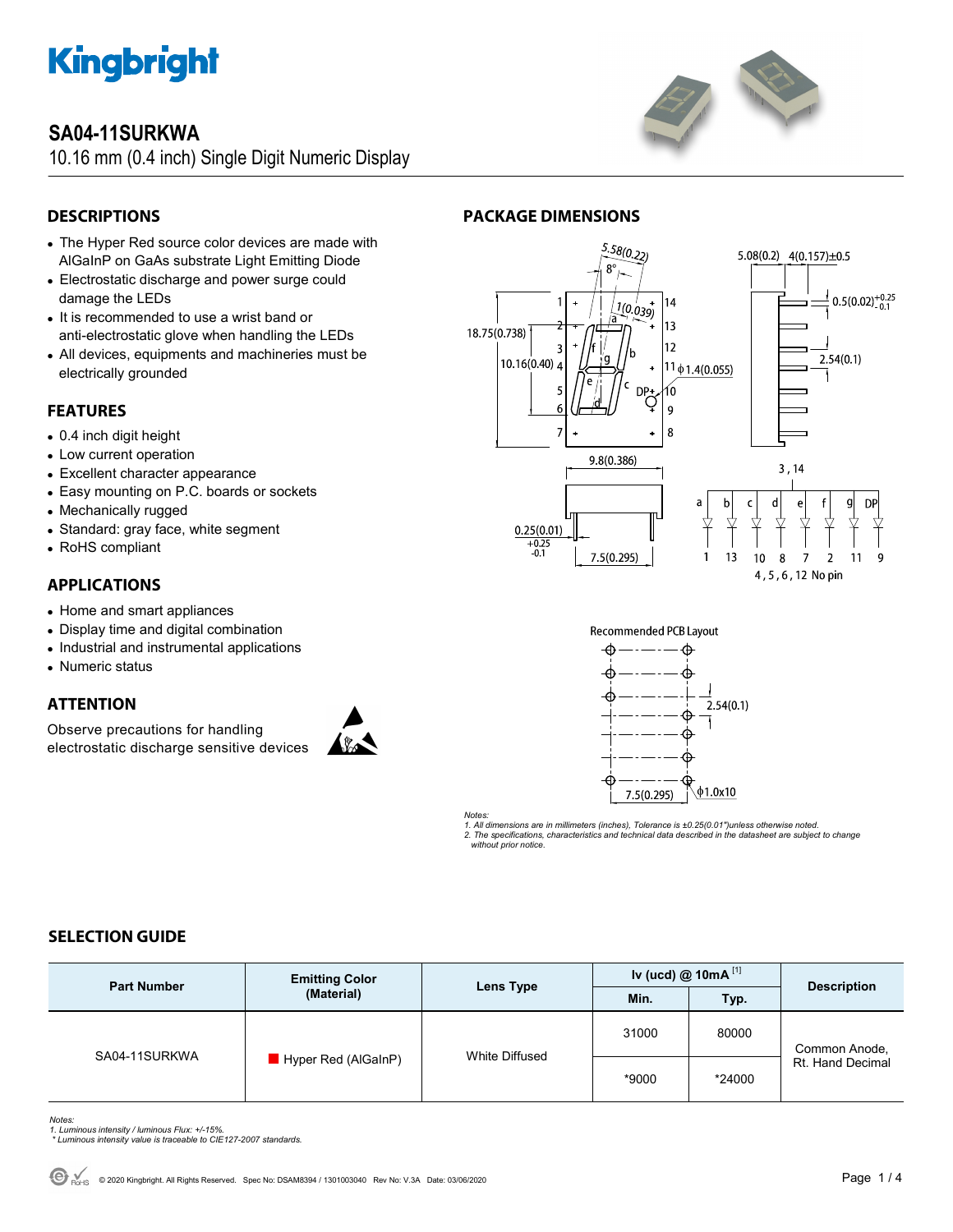

# **SA04-11SURKWA**

10.16 mm (0.4 inch) Single Digit Numeric Display



# **DESCRIPTIONS**

- The Hyper Red source color devices are made with AlGaInP on GaAs substrate Light Emitting Diode
- Electrostatic discharge and power surge could damage the LEDs
- It is recommended to use a wrist band or anti-electrostatic glove when handling the LEDs
- All devices, equipments and machineries must be electrically grounded

# **FEATURES**

- 0.4 inch digit height
- Low current operation
- Excellent character appearance
- Easy mounting on P.C. boards or sockets
- Mechanically rugged
- Standard: gray face, white segment
- RoHS compliant

### **APPLICATIONS**

- Home and smart appliances
- Display time and digital combination
- Industrial and instrumental applications
- Numeric status

# **ATTENTION**

Observe precautions for handling electrostatic discharge sensitive devices





**PACKAGE DIMENSIONS** 



*Notes:* 

*1. All dimensions are in millimeters (inches), Tolerance is ±0.25(0.01")unless otherwise noted. 2. The specifications, characteristics and technical data described in the datasheet are subject to change without prior notice.* 

### **SELECTION GUIDE**

| <b>Part Number</b> | <b>Emitting Color</b><br>(Material) | Lens Type      | Iv (ucd) $@$ 10mA $^{[1]}$ |        |                                   |
|--------------------|-------------------------------------|----------------|----------------------------|--------|-----------------------------------|
|                    |                                     |                | Min.                       | Typ.   | <b>Description</b>                |
| SA04-11SURKWA      | Hyper Red (AlGaInP)                 | White Diffused | 31000                      | 80000  | Common Anode,<br>Rt. Hand Decimal |
|                    |                                     |                | *9000                      | *24000 |                                   |

- *Notes: 1. Luminous intensity / luminous Flux: +/-15%.*
- *\* Luminous intensity value is traceable to CIE127-2007 standards.*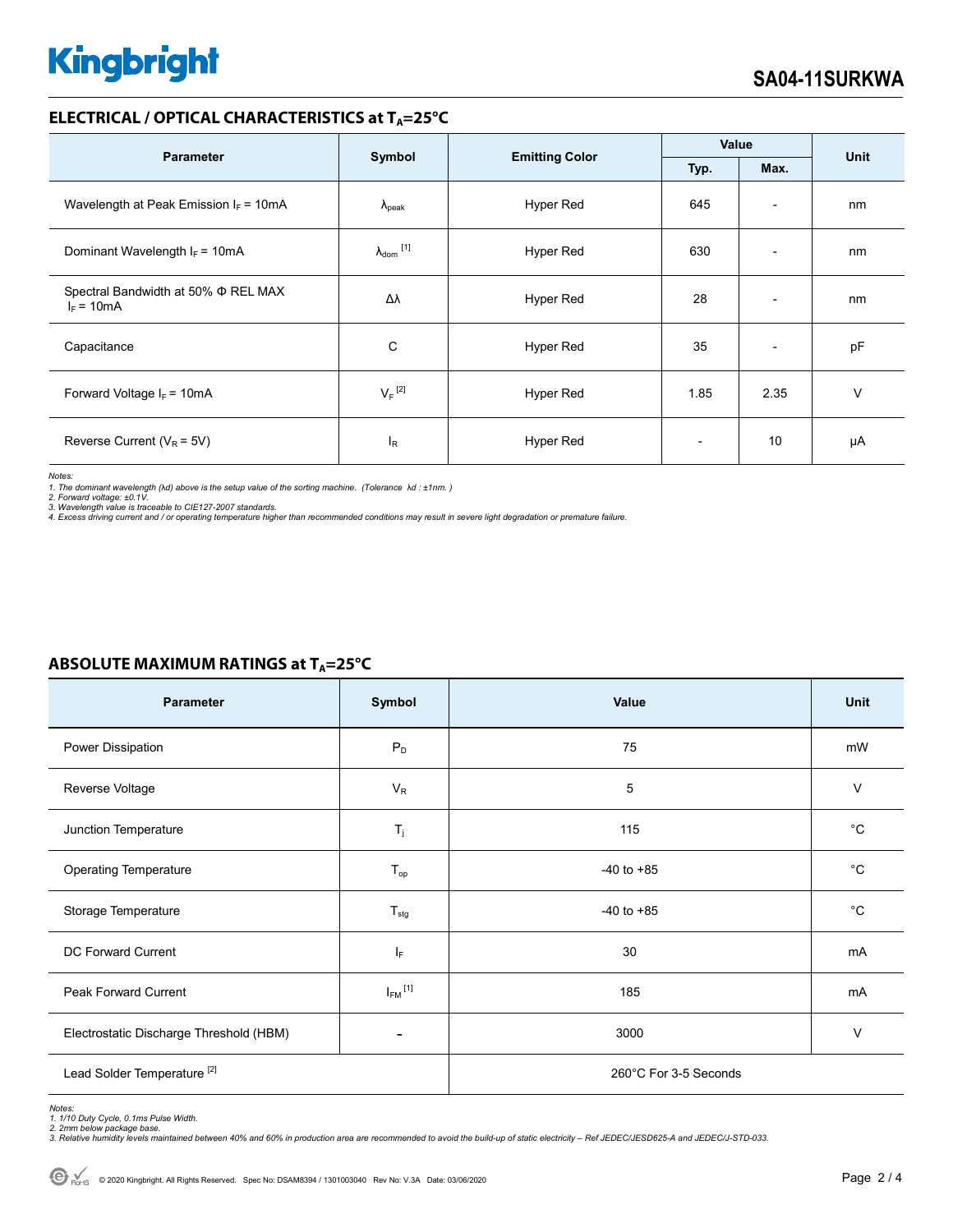# **Kingbright**

#### **ELECTRICAL / OPTICAL CHARACTERISTICS at T<sub>A</sub>=25°C**

| <b>Parameter</b>                                         |                            | <b>Emitting Color</b> | Value                    |                          | <b>Unit</b> |
|----------------------------------------------------------|----------------------------|-----------------------|--------------------------|--------------------------|-------------|
|                                                          | Symbol                     |                       | Typ.                     | Max.                     |             |
| Wavelength at Peak Emission $I_F = 10mA$                 | $\Lambda_{\rm peak}$       | Hyper Red             | 645                      | $\overline{\phantom{a}}$ | nm          |
| Dominant Wavelength $I_F = 10mA$                         | $\lambda_{\text{dom}}$ [1] | Hyper Red             | 630                      | $\overline{\phantom{0}}$ | nm          |
| Spectral Bandwidth at 50% $\Phi$ REL MAX<br>$I_F = 10mA$ | Δλ                         | <b>Hyper Red</b>      | 28                       | $\overline{\phantom{a}}$ | nm          |
| Capacitance                                              | С                          | Hyper Red             | 35                       | $\overline{\phantom{a}}$ | pF          |
| Forward Voltage $I_F$ = 10mA                             | $V_F$ <sup>[2]</sup>       | Hyper Red             | 1.85                     | 2.35                     | v           |
| Reverse Current ( $V_R$ = 5V)                            | $I_R$                      | Hyper Red             | $\overline{\phantom{0}}$ | 10                       | μA          |

*Notes:* 

1. The dominant wavelength (λd) above is the setup value of the sorting machine. (Tolerance λd : ±1nm. )<br>2. Forward voltage: ±0.1V.<br>3. Wavelength value is traceable to CIE127-2007 standards.

*4. Excess driving current and / or operating temperature higher than recommended conditions may result in severe light degradation or premature failure.* 

| Parameter                               | Symbol                  | Value                 | Unit         |  |
|-----------------------------------------|-------------------------|-----------------------|--------------|--|
| Power Dissipation                       | $P_D$                   | 75                    | mW           |  |
| Reverse Voltage                         | $V_{R}$                 | 5                     | V            |  |
| Junction Temperature                    | $T_j$                   | 115                   | $^{\circ}C$  |  |
| <b>Operating Temperature</b>            | $T_{op}$                | $-40$ to $+85$        | $^{\circ}C$  |  |
| Storage Temperature                     | $T_{\text{stg}}$        | $-40$ to $+85$        | $^{\circ}$ C |  |
| DC Forward Current                      | IF.                     | 30                    | mA           |  |
| Peak Forward Current                    | $I_{FM}$ <sup>[1]</sup> | 185                   | mA           |  |
| Electrostatic Discharge Threshold (HBM) |                         | 3000                  | V            |  |
| Lead Solder Temperature <sup>[2]</sup>  |                         | 260°C For 3-5 Seconds |              |  |

# **ABSOLUTE MAXIMUM RATINGS at T<sub>A</sub>=25°C**

*Notes: 1. 1/10 Duty Cycle, 0.1ms Pulse Width.* 

*2. 2mm below package base. 3. Relative humidity levels maintained between 40% and 60% in production area are recommended to avoid the build-up of static electricity – Ref JEDEC/JESD625-A and JEDEC/J-STD-033.*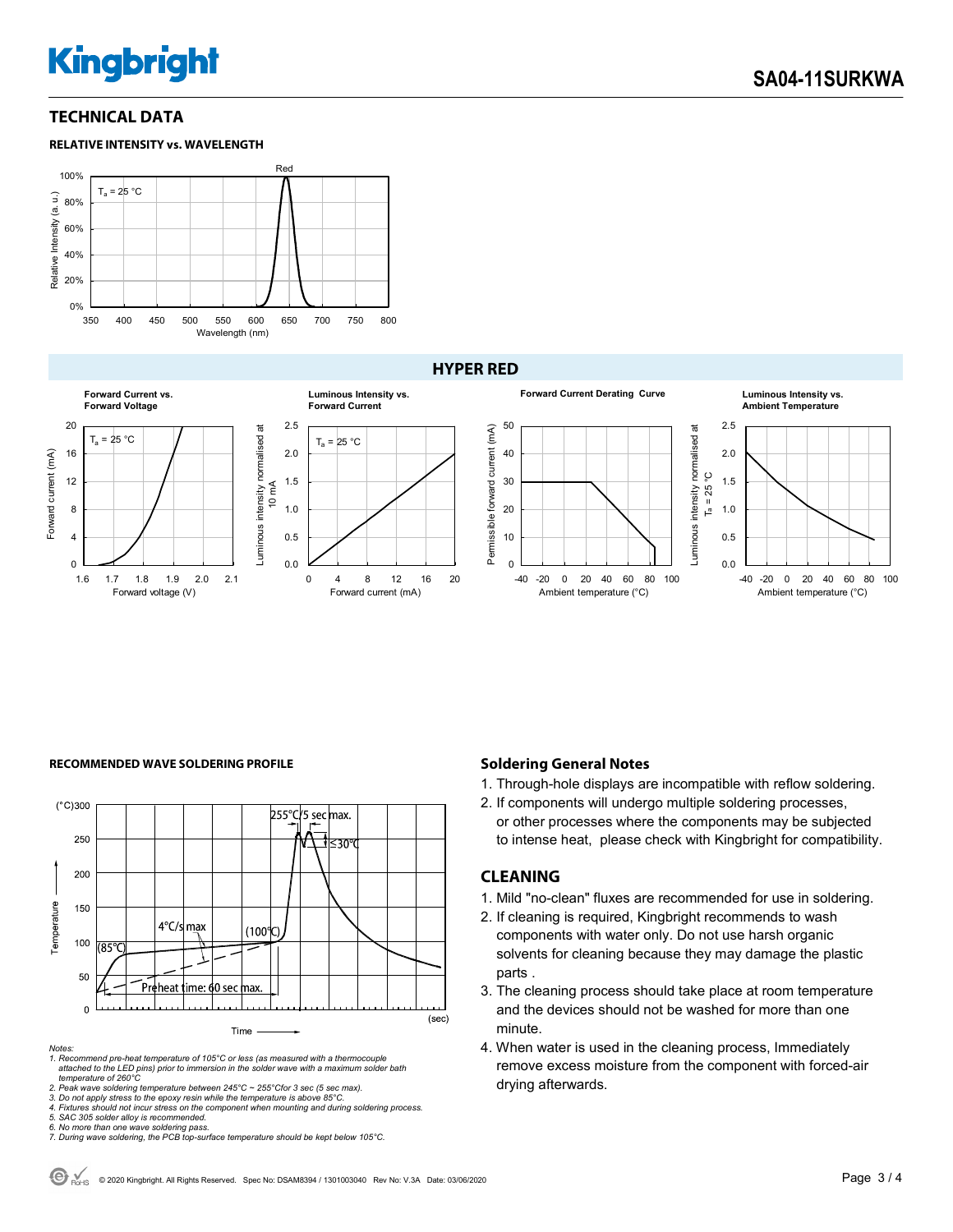# **Kingbright**

#### **TECHNICAL DATA**





#### **HYPER RED**



#### **RECOMMENDED WAVE SOLDERING PROFILE <b>A CONDUCT A CONDUCT SOLDERING PROFILE Soldering General Notes**



*Notes:* 

*1. Recommend pre-heat temperature of 105°C or less (as measured with a thermocouple attached to the LED pins) prior to immersion in the solder wave with a maximum solder bath temperature of 260°C* 

- 1. Through-hole displays are incompatible with reflow soldering.
- 2. If components will undergo multiple soldering processes, or other processes where the components may be subjected to intense heat, please check with Kingbright for compatibility.

#### **CLEANING**

- 1. Mild "no-clean" fluxes are recommended for use in soldering.
- 2. If cleaning is required, Kingbright recommends to wash components with water only. Do not use harsh organic solvents for cleaning because they may damage the plastic parts .
- 3. The cleaning process should take place at room temperature and the devices should not be washed for more than one minute.
- 4. When water is used in the cleaning process, Immediately remove excess moisture from the component with forced-air drying afterwards.

<sup>2.</sup> Peak wave soldering temperature between 245°C ~ 255°Cfor 3 sec (5 sec max).<br>3. Do not apply stress to the epoxy resin while the temperature is above 85°C.<br>4. Fixtures should not incur stress on the component when mounti

*<sup>5.</sup> SAC 305 solder alloy is recommended.* 

*<sup>6.</sup> No more than one wave soldering pass. 7. During wave soldering, the PCB top-surface temperature should be kept below 105°C.*